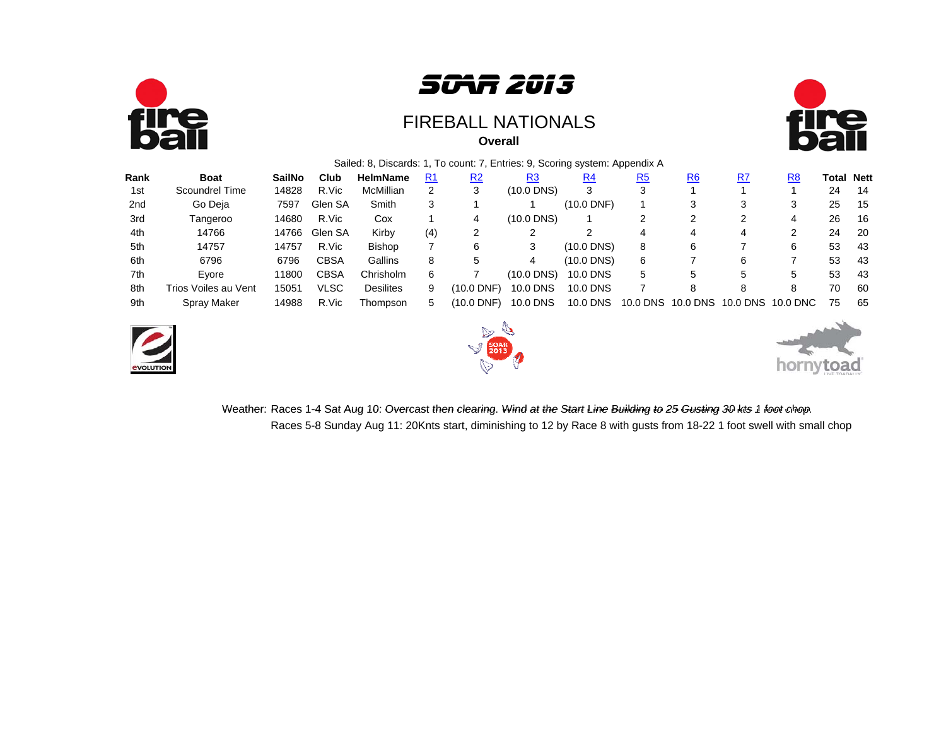



#### **Overall**FIREBALL NATIONALS



#### Sailed: 8, Discards: 1, To count: 7, Entries: 9, Scoring system: Appendix A

| Rank | <b>Boat</b>          | <b>SailNo</b> | Club        | <b>HelmName</b>  | R <sub>1</sub> | R <sub>2</sub> | R <sub>3</sub> | R <sub>4</sub> | <u>R5</u> | R <sub>6</sub> | R7       | R8       | Total Nett |      |
|------|----------------------|---------------|-------------|------------------|----------------|----------------|----------------|----------------|-----------|----------------|----------|----------|------------|------|
| 1st  | Scoundrel Time       | 14828         | R.Vic       | McMillian        | 2              |                | (10.0 DNS)     | 3              |           |                |          |          | 24         | -14  |
| 2nd  | Go Deja              | 7597          | Glen SA     | Smith            | 3              |                |                | (10.0 DNF)     |           |                |          |          | 25         | - 15 |
| 3rd  | Tangeroo             | 14680         | R.Vic       | Cox              |                |                | (10.0 DNS)     |                |           |                |          |          | 26         | 16   |
| 4th  | 14766                | 14766         | Glen SA     | Kirby            | (4)            |                |                |                |           |                |          |          | 24         | -20  |
| 5th  | 14757                | 14757         | R.Vic       | <b>Bishop</b>    |                |                |                | $(10.0$ DNS)   | 8         |                |          |          | 53         | -43  |
| 6th  | 6796                 | 6796          | <b>CBSA</b> | Gallins          | 8              |                | 4              | $(10.0$ DNS)   | 6         |                | 6        |          | 53         | 43   |
| 7th  | Evore                | 11800         | CBSA        | Chrisholm        | 6              |                | $(10.0$ DNS)   | 10.0 DNS       | 5.        |                | 5        |          | 53         | 43   |
| 8th  | Trios Voiles au Vent | 15051         | VLSC        | <b>Desilites</b> | 9              | (10.0 DNF)     | 10.0 DNS       | 10.0 DNS       |           |                |          |          | 70         | -60  |
| 9th  | Spray Maker          | 14988         | R.Vic       | Thompson         | 5              | (10.0 DNF)     | 10.0 DNS       | 10.0 DNS       | 10.0 DNS  | 10.0 DNS       | 10.0 DNS | 10.0 DNC | 75         | 65   |







Weather: Races 1-4 Sat Aug 10: Overcast then clearing. Wind at the Start Line Building to 25 Gusting 30 kts 1 foot chop. Races 5-8 Sunday Aug 11: 20Knts start, diminishing to 12 by Race 8 with gusts from 18-22 1 foot swell with small chop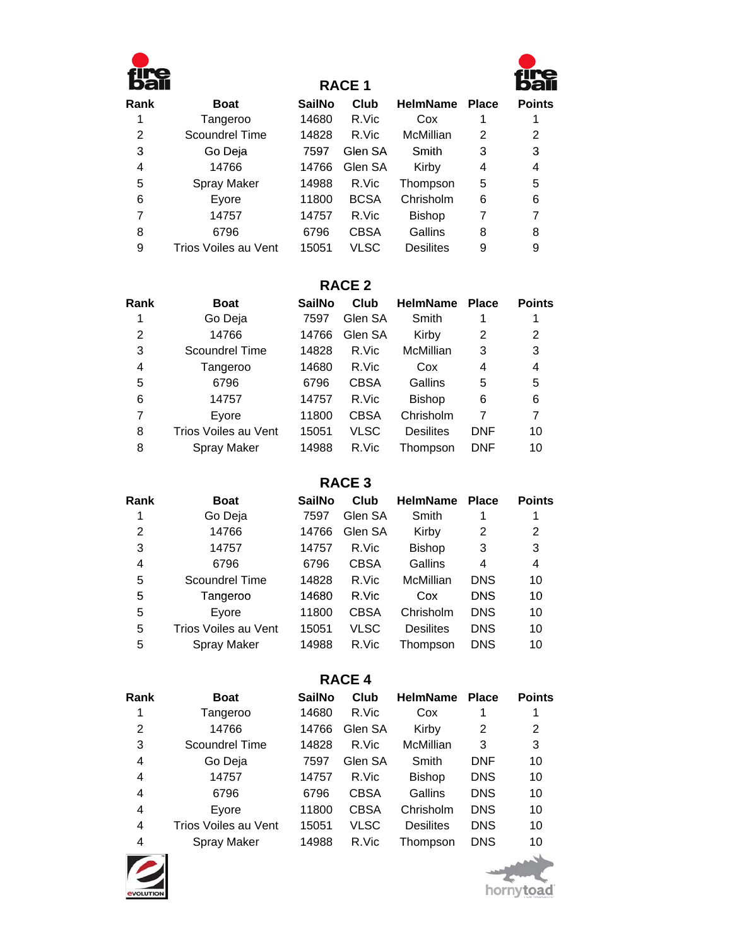

# **RACE 1**



| <b>Boat</b>          | <b>SailNo</b> | Club        | <b>HelmName</b>  | <b>Place</b> | <b>Points</b> |
|----------------------|---------------|-------------|------------------|--------------|---------------|
| Tangeroo             | 14680         | R.Vic       | Cox              |              |               |
| Scoundrel Time       | 14828         | R.Vic       | McMillian        | 2            | 2             |
| Go Deja              | 7597          | Glen SA     | Smith            | 3            | 3             |
| 14766                | 14766         | Glen SA     | Kirby            | 4            | 4             |
| Spray Maker          | 14988         | R.Vic       | Thompson         | 5            | 5             |
| Eyore                | 11800         | <b>BCSA</b> | Chrisholm        | 6            | 6             |
| 14757                | 14757         | R.Vic       | <b>Bishop</b>    |              |               |
| 6796                 | 6796          | <b>CBSA</b> | Gallins          | 8            | 8             |
| Trios Voiles au Vent | 15051         | VLSC        | <b>Desilites</b> | 9            | 9             |
|                      |               |             |                  |              |               |

# **RACE 2**

| Rank | <b>Boat</b>          | <b>SailNo</b> | Club        | <b>HelmName</b>  | <b>Place</b> | <b>Points</b> |
|------|----------------------|---------------|-------------|------------------|--------------|---------------|
|      | Go Deja              | 7597          | Glen SA     | Smith            |              |               |
| 2    | 14766                | 14766         | Glen SA     | Kirby            | 2            | 2             |
| 3    | Scoundrel Time       | 14828         | R.Vic       | McMillian        | 3            | 3             |
| 4    | Tangeroo             | 14680         | R.Vic       | Cox              | 4            | 4             |
| 5    | 6796                 | 6796          | <b>CBSA</b> | Gallins          | 5            | 5             |
| 6    | 14757                | 14757         | R.Vic       | <b>Bishop</b>    | 6            | 6             |
| 7    | Evore                | 11800         | <b>CBSA</b> | Chrisholm        |              | 7             |
| 8    | Trios Voiles au Vent | 15051         | <b>VLSC</b> | <b>Desilites</b> | <b>DNF</b>   | 10            |
| 8    | <b>Spray Maker</b>   | 14988         | R.Vic       | Thompson         | DNF          | 10            |
|      |                      |               |             |                  |              |               |

**RACE 3 RACE**

| Rank | <b>Boat</b>          | <b>SailNo</b> | Club        | <b>HelmName</b>  | <b>Place</b> | <b>Points</b> |
|------|----------------------|---------------|-------------|------------------|--------------|---------------|
|      | Go Deja              | 7597          | Glen SA     | Smith            |              |               |
| 2    | 14766                | 14766         | Glen SA     | Kirby            | 2            | 2             |
| 3    | 14757                | 14757         | R.Vic       | <b>Bishop</b>    | 3            | 3             |
| 4    | 6796                 | 6796          | <b>CBSA</b> | Gallins          | 4            | 4             |
| 5    | Scoundrel Time       | 14828         | R.Vic       | McMillian        | <b>DNS</b>   | 10            |
| 5    | Tangeroo             | 14680         | R.Vic       | Cox              | <b>DNS</b>   | 10            |
| 5    | Evore                | 11800         | <b>CBSA</b> | Chrisholm        | <b>DNS</b>   | 10            |
| 5    | Trios Voiles au Vent | 15051         | VLSC        | <b>Desilites</b> | <b>DNS</b>   | 10            |
| 5    | <b>Spray Maker</b>   | 14988         | R.Vic       | Thompson         | <b>DNS</b>   | 10            |
|      |                      |               |             |                  |              |               |

# **RACE 4**

| Rank | <b>Boat</b>          | <b>SailNo</b> | Club        | <b>HelmName</b>  | <b>Place</b> | <b>Points</b> |
|------|----------------------|---------------|-------------|------------------|--------------|---------------|
|      | Tangeroo             | 14680         | R.Vic       | Cox              |              |               |
| 2    | 14766                | 14766         | Glen SA     | Kirby            | 2            | 2             |
| 3    | Scoundrel Time       | 14828         | R.Vic       | McMillian        | 3            | 3             |
| 4    | Go Deja              | 7597          | Glen SA     | Smith            | <b>DNF</b>   | 10            |
| 4    | 14757                | 14757         | R.Vic       | <b>Bishop</b>    | <b>DNS</b>   | 10            |
| 4    | 6796                 | 6796          | <b>CBSA</b> | Gallins          | <b>DNS</b>   | 10            |
| 4    | Evore                | 11800         | <b>CBSA</b> | Chrisholm        | <b>DNS</b>   | 10            |
| 4    | Trios Voiles au Vent | 15051         | VLSC        | <b>Desilites</b> | <b>DNS</b>   | 10            |
| 4    | Spray Maker          | 14988         | R.Vic       | Thompson         | <b>DNS</b>   | 10            |